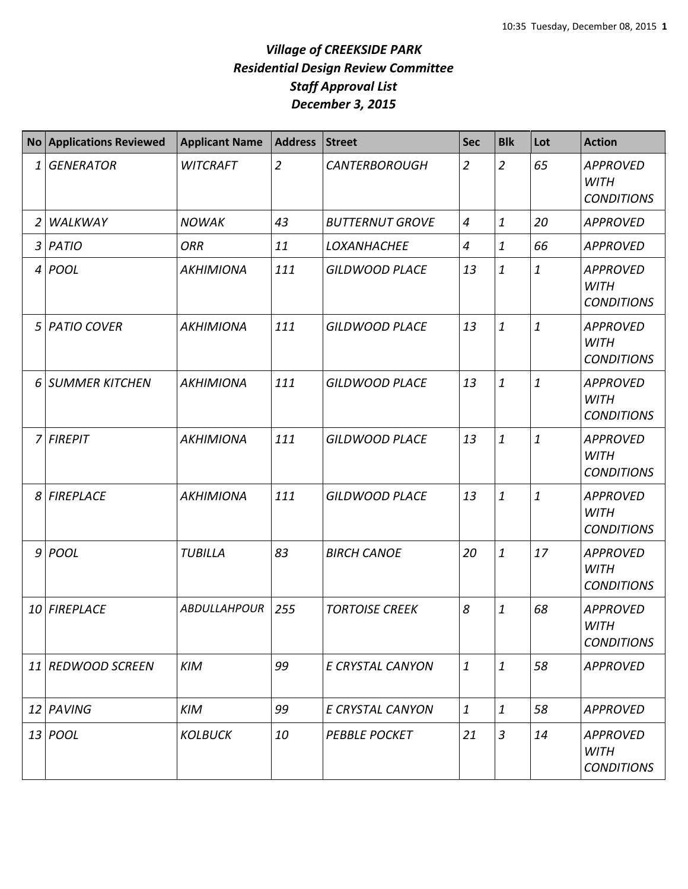## *Village of CREEKSIDE PARK Residential Design Review Committee Staff Approval List December 3, 2015*

|    | No Applications Reviewed | <b>Applicant Name</b> | <b>Address</b> | <b>Street</b>          | <b>Sec</b>     | <b>Blk</b>       | Lot              | <b>Action</b>                                       |
|----|--------------------------|-----------------------|----------------|------------------------|----------------|------------------|------------------|-----------------------------------------------------|
| 1  | <b>GENERATOR</b>         | <b>WITCRAFT</b>       | $\overline{2}$ | <b>CANTERBOROUGH</b>   | $\overline{2}$ | $\overline{2}$   | 65               | <b>APPROVED</b><br><b>WITH</b><br><b>CONDITIONS</b> |
| 2  | WALKWAY                  | <b>NOWAK</b>          | 43             | <b>BUTTERNUT GROVE</b> | $\overline{4}$ | $\mathbf{1}$     | 20               | <b>APPROVED</b>                                     |
| 3  | PATIO                    | <b>ORR</b>            | 11             | <b>LOXANHACHEE</b>     | $\overline{4}$ | $\mathbf{1}$     | 66               | <b>APPROVED</b>                                     |
| 4  | POOL                     | <b>AKHIMIONA</b>      | 111            | <b>GILDWOOD PLACE</b>  | 13             | $\mathbf{1}$     | $\mathbf{1}$     | <b>APPROVED</b><br><b>WITH</b><br><b>CONDITIONS</b> |
| 5  | <b>PATIO COVER</b>       | <b>AKHIMIONA</b>      | 111            | <b>GILDWOOD PLACE</b>  | 13             | $\mathbf{1}$     | $\boldsymbol{1}$ | <b>APPROVED</b><br><b>WITH</b><br><b>CONDITIONS</b> |
| 6  | <b>SUMMER KITCHEN</b>    | <b>AKHIMIONA</b>      | 111            | <b>GILDWOOD PLACE</b>  | 13             | $\mathbf{1}$     | $\mathbf{1}$     | <b>APPROVED</b><br><b>WITH</b><br><b>CONDITIONS</b> |
| 7  | <b>FIREPIT</b>           | <b>AKHIMIONA</b>      | 111            | <b>GILDWOOD PLACE</b>  | 13             | $\mathbf{1}$     | $\mathbf{1}$     | <b>APPROVED</b><br><b>WITH</b><br><b>CONDITIONS</b> |
| 8  | <b>FIREPLACE</b>         | <b>AKHIMIONA</b>      | 111            | <b>GILDWOOD PLACE</b>  | 13             | $\mathbf{1}$     | $\mathbf{1}$     | <b>APPROVED</b><br><b>WITH</b><br><b>CONDITIONS</b> |
|    | 9 POOL                   | <b>TUBILLA</b>        | 83             | <b>BIRCH CANOE</b>     | 20             | $\mathbf{1}$     | 17               | <b>APPROVED</b><br><b>WITH</b><br><b>CONDITIONS</b> |
| 10 | <b>FIREPLACE</b>         | <b>ABDULLAHPOUR</b>   | 255            | <b>TORTOISE CREEK</b>  | 8              | $\mathbf{1}$     | 68               | <b>APPROVED</b><br><b>WITH</b><br><b>CONDITIONS</b> |
|    | 11 REDWOOD SCREEN        | <b>KIM</b>            | 99             | E CRYSTAL CANYON       | $\mathbf{1}$   | $\mathbf{1}$     | 58               | <b>APPROVED</b>                                     |
| 12 | PAVING                   | <b>KIM</b>            | 99             | E CRYSTAL CANYON       | $\mathbf{1}$   | $\boldsymbol{1}$ | 58               | <b>APPROVED</b>                                     |
|    | 13 <i>POOL</i>           | <b>KOLBUCK</b>        | 10             | <b>PEBBLE POCKET</b>   | 21             | $\overline{3}$   | 14               | <b>APPROVED</b><br><b>WITH</b><br><b>CONDITIONS</b> |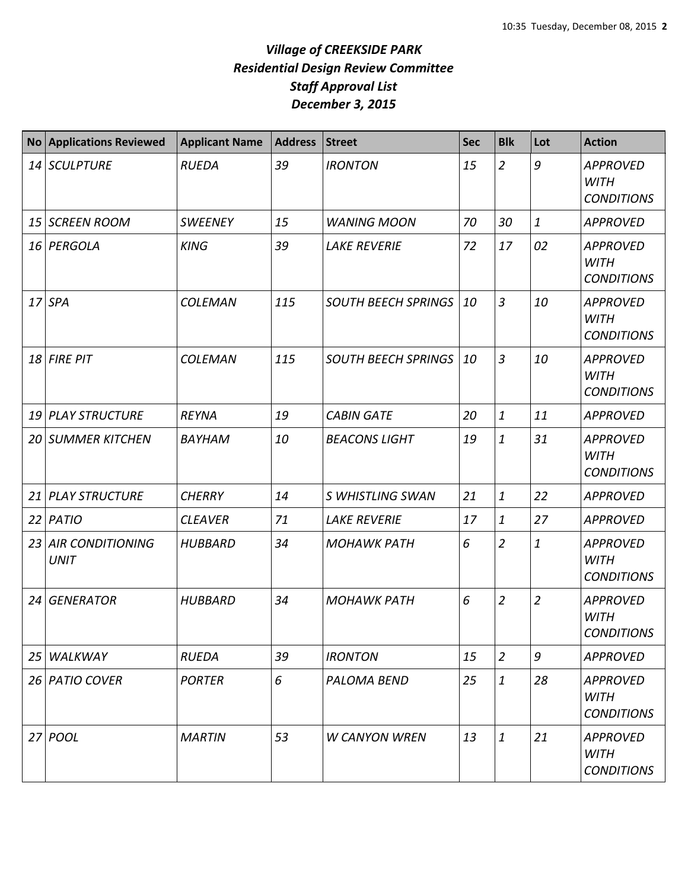## *Village of CREEKSIDE PARK Residential Design Review Committee Staff Approval List December 3, 2015*

| <b>No</b> | <b>Applications Reviewed</b>           | <b>Applicant Name</b> | <b>Address</b> | <b>Street</b>              | <b>Sec</b> | <b>Blk</b>     | Lot            | <b>Action</b>                                       |
|-----------|----------------------------------------|-----------------------|----------------|----------------------------|------------|----------------|----------------|-----------------------------------------------------|
|           | 14 SCULPTURE                           | <b>RUEDA</b>          | 39             | <b>IRONTON</b>             | 15         | $\overline{2}$ | 9              | <b>APPROVED</b><br><b>WITH</b><br><b>CONDITIONS</b> |
| 15        | <b>SCREEN ROOM</b>                     | <b>SWEENEY</b>        | 15             | <b>WANING MOON</b>         | 70         | 30             | $\mathbf{1}$   | <b>APPROVED</b>                                     |
|           | 16 PERGOLA                             | <b>KING</b>           | 39             | <b>LAKE REVERIE</b>        | 72         | 17             | 02             | <b>APPROVED</b><br><b>WITH</b><br><b>CONDITIONS</b> |
|           | $17$ SPA                               | <b>COLEMAN</b>        | 115            | <b>SOUTH BEECH SPRINGS</b> | 10         | $\overline{3}$ | 10             | <b>APPROVED</b><br><b>WITH</b><br><b>CONDITIONS</b> |
| 18        | <b>FIRE PIT</b>                        | <b>COLEMAN</b>        | 115            | <b>SOUTH BEECH SPRINGS</b> | 10         | $\overline{3}$ | 10             | <b>APPROVED</b><br><b>WITH</b><br><b>CONDITIONS</b> |
| 19        | <b>PLAY STRUCTURE</b>                  | <b>REYNA</b>          | 19             | <b>CABIN GATE</b>          | 20         | $\mathbf{1}$   | 11             | <b>APPROVED</b>                                     |
| 20 I      | <b>SUMMER KITCHEN</b>                  | BAYHAM                | 10             | <b>BEACONS LIGHT</b>       | 19         | $\mathbf{1}$   | 31             | <b>APPROVED</b><br><b>WITH</b><br><b>CONDITIONS</b> |
| 21        | <b>PLAY STRUCTURE</b>                  | <b>CHERRY</b>         | 14             | S WHISTLING SWAN           | 21         | 1              | 22             | <b>APPROVED</b>                                     |
| 22        | PATIO                                  | <b>CLEAVER</b>        | 71             | <b>LAKE REVERIE</b>        | 17         | $\mathbf{1}$   | 27             | <b>APPROVED</b>                                     |
| 23        | <b>AIR CONDITIONING</b><br><b>UNIT</b> | <b>HUBBARD</b>        | 34             | <b>MOHAWK PATH</b>         | 6          | $\overline{2}$ | $\mathbf{1}$   | <b>APPROVED</b><br><b>WITH</b><br><b>CONDITIONS</b> |
| 24        | <b>GENERATOR</b>                       | <b>HUBBARD</b>        | 34             | <b>MOHAWK PATH</b>         | 6          | $\overline{2}$ | $\overline{2}$ | <b>APPROVED</b><br><b>WITH</b><br><b>CONDITIONS</b> |
| 25        | WALKWAY                                | <b>RUEDA</b>          | 39             | <b>IRONTON</b>             | 15         | $\overline{2}$ | 9              | <b>APPROVED</b>                                     |
|           | 26 PATIO COVER                         | <b>PORTER</b>         | 6              | PALOMA BEND                | 25         | 1              | 28             | <b>APPROVED</b><br><b>WITH</b><br><b>CONDITIONS</b> |
|           | $27$ POOL                              | <b>MARTIN</b>         | 53             | <b>W CANYON WREN</b>       | 13         | $\mathbf{1}$   | 21             | <b>APPROVED</b><br><b>WITH</b><br><b>CONDITIONS</b> |